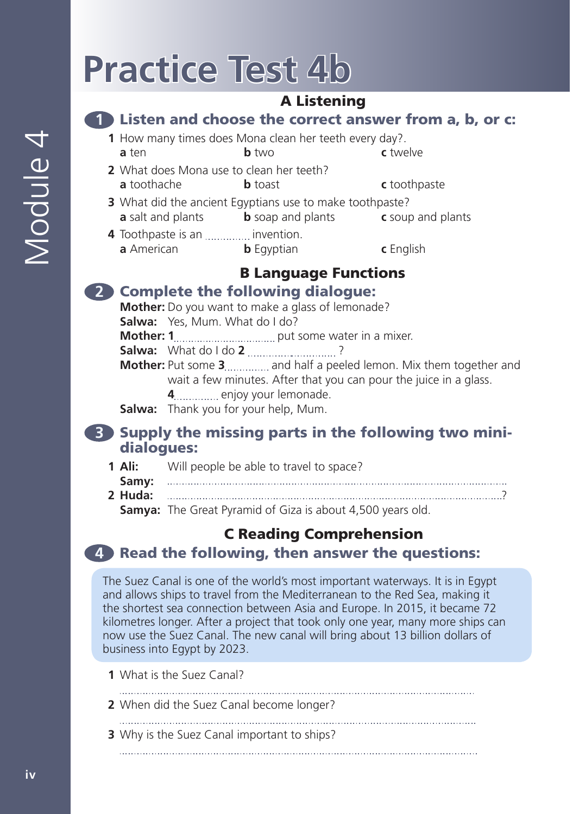# **Practice Test 4b**

# A Listening

#### **1** Listen and choose the correct answer from a, b, or c:

- **1** How many times does Mona clean her teeth every day?. **a** ten **b** two **c** twelve
- **2** What does Mona use to clean her teeth? **a** toothache **b** toast **c** toothpaste
- **3** What did the ancient Egyptians use to make toothpaste? **a** salt and plants **b** soap and plants **c** soup and plants
- **4** Toothpaste is an *..............*.. invention. **a** American **b** Egyptian **c** English

# B Language Functions

### **2** Complete the following dialogue:

**Mother:** Do you want to make a glass of lemonade?

**Salwa:** Yes, Mum. What do I do?

**Mother: 1**put some water in a mixer.

**Salwa:** What do I do **2** ............................?

**Mother:** Put some 3................ and half a peeled lemon. Mix them together and wait a few minutes. After that you can pour the juice in a glass.

**4** enjoy your lemonade.

**Salwa:** Thank you for your help, Mum.

### **3** Supply the missing parts in the following two minidialogues:

- **1 Ali:** Will people be able to travel to space?
- **Samy: 2 Huda:** ?

**Samya:** The Great Pyramid of Giza is about 4,500 years old.

# C Reading Comprehension

# **4** Read the following, then answer the questions:

The Suez Canal is one of the world's most important waterways. It is in Egypt and allows ships to travel from the Mediterranean to the Red Sea, making it the shortest sea connection between Asia and Europe. In 2015, it became 72 kilometres longer. After a project that took only one year, many more ships can now use the Suez Canal. The new canal will bring about 13 billion dollars of business into Egypt by 2023.

- **1** What is the Suez Canal?
- 
- **2** When did the Suez Canal become longer?
- **3** Why is the Suez Canal important to ships?